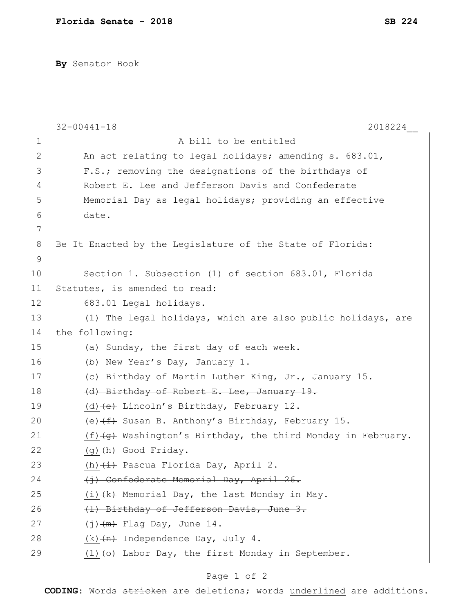**By** Senator Book

|               | 2018224<br>$32 - 00441 - 18$                                              |
|---------------|---------------------------------------------------------------------------|
| 1             | A bill to be entitled                                                     |
| 2             | An act relating to legal holidays; amending s. 683.01,                    |
| 3             | F.S.; removing the designations of the birthdays of                       |
| 4             | Robert E. Lee and Jefferson Davis and Confederate                         |
| 5             | Memorial Day as legal holidays; providing an effective                    |
| 6             | date.                                                                     |
| 7             |                                                                           |
| 8             | Be It Enacted by the Legislature of the State of Florida:                 |
| $\mathcal{G}$ |                                                                           |
| 10            | Section 1. Subsection (1) of section 683.01, Florida                      |
| 11            | Statutes, is amended to read:                                             |
| 12            | 683.01 Legal holidays.-                                                   |
| 13            | (1) The legal holidays, which are also public holidays, are               |
| 14            | the following:                                                            |
| 15            | (a) Sunday, the first day of each week.                                   |
| 16            | (b) New Year's Day, January 1.                                            |
| 17            | (c) Birthday of Martin Luther King, Jr., January 15.                      |
| 18            | (d) Birthday of Robert E. Lee, January 19.                                |
| 19            | (d) (e) Lincoln's Birthday, February 12.                                  |
| 20            | (e) $(f)$ Susan B. Anthony's Birthday, February 15.                       |
| 21            | $(f)$ $\overline{g}$ Washington's Birthday, the third Monday in February. |
| 22            | $(q)$ $(h)$ Good Friday.                                                  |
| 23            | (h) (i) Pascua Florida Day, April 2.                                      |
| 24            | (i) Confederate Memorial Day, April 26.                                   |
| 25            | (i) (k) Memorial Day, the last Monday in May.                             |
| 26            | (1) Birthday of Jefferson Davis, June 3.                                  |
| 27            | $(j)$ $(m)$ Flag Day, June 14.                                            |
| 28            | $(k)$ $(n)$ Independence Day, July 4.                                     |
| 29            | $(1)$ $(0)$ Labor Day, the first Monday in September.                     |

## Page 1 of 2

**CODING**: Words stricken are deletions; words underlined are additions.